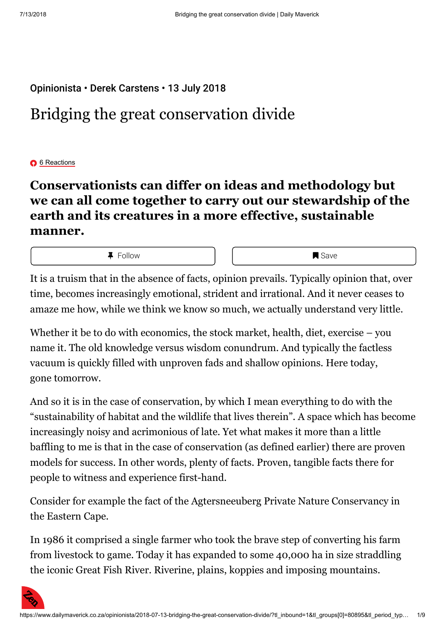## Opinionista • Derek Carstens • 13 July 2018

# Bridging the great conservation divide

### **O** 6 Reactions

## **Conservationists can differ on ideas and methodology but we can all come together to carry out our stewardship of the earth and its creatures in a more effective, sustainable manner.**

**4** Follow **I** I I I Save

It is a truism that in the absence of facts, opinion prevails. Typically opinion that, over time, becomes increasingly emotional, strident and irrational. And it never ceases to amaze me how, while we think we know so much, we actually understand very little.

Whether it be to do with economics, the stock market, health, diet, exercise – you name it. The old knowledge versus wisdom conundrum. And typically the factless vacuum is quickly filled with unproven fads and shallow opinions. Here today, gone tomorrow.

And so it is in the case of conservation, by which I mean everything to do with the "sustainability of habitat and the wildlife that lives therein". A space which has become increasingly noisy and acrimonious of late. Yet what makes it more than a little baffling to me is that in the case of conservation (as defined earlier) there are proven models for success. In other words, plenty of facts. Proven, tangible facts there for people to witness and experience first-hand.

Consider for example the fact of the Agtersneeuberg Private Nature Conservancy in the Eastern Cape.

In 1986 it comprised a single farmer who took the brave step of converting his farm from livestock to game. Today it has expanded to some 40,000 ha in size straddling the iconic Great Fish River. Riverine, plains, koppies and imposing mountains.

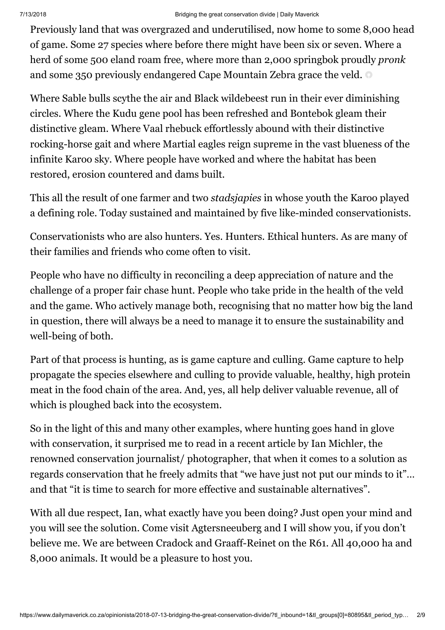Previously land that was overgrazed and underutilised, now home to some 8,000 head of game. Some 27 species where before there might have been six or seven. Where a herd of some 500 eland roam free, where more than 2,000 springbok proudly *pronk* and some 350 previously endangered Cape Mountain Zebra grace the veld.

Where Sable bulls scythe the air and Black wildebeest run in their ever diminishing circles. Where the Kudu gene pool has been refreshed and Bontebok gleam their distinctive gleam. Where Vaal rhebuck effortlessly abound with their distinctive rocking-horse gait and where Martial eagles reign supreme in the vast blueness of the infinite Karoo sky. Where people have worked and where the habitat has been restored, erosion countered and dams built.

This all the result of one farmer and two *stadsjapies* in whose youth the Karoo played a defining role. Today sustained and maintained by five like-minded conservationists.

Conservationists who are also hunters. Yes. Hunters. Ethical hunters. As are many of their families and friends who come often to visit.

People who have no difficulty in reconciling a deep appreciation of nature and the challenge of a proper fair chase hunt. People who take pride in the health of the veld and the game. Who actively manage both, recognising that no matter how big the land in question, there will always be a need to manage it to ensure the sustainability and well-being of both.

Part of that process is hunting, as is game capture and culling. Game capture to help propagate the species elsewhere and culling to provide valuable, healthy, high protein meat in the food chain of the area. And, yes, all help deliver valuable revenue, all of which is ploughed back into the ecosystem.

So in the light of this and many other examples, where hunting goes hand in glove with conservation, it surprised me to read in a recent article by Ian Michler, the renowned conservation journalist/ photographer, that when it comes to a solution as regards conservation that he freely admits that "we have just not put our minds to it"… and that "it is time to search for more effective and sustainable alternatives".

With all due respect, Ian, what exactly have you been doing? Just open your mind and you will see the solution. Come visit Agtersneeuberg and I will show you, if you don't believe me. We are between Cradock and Graaff-Reinet on the R61. All 40,000 ha and 8,000 animals. It would be a pleasure to host you.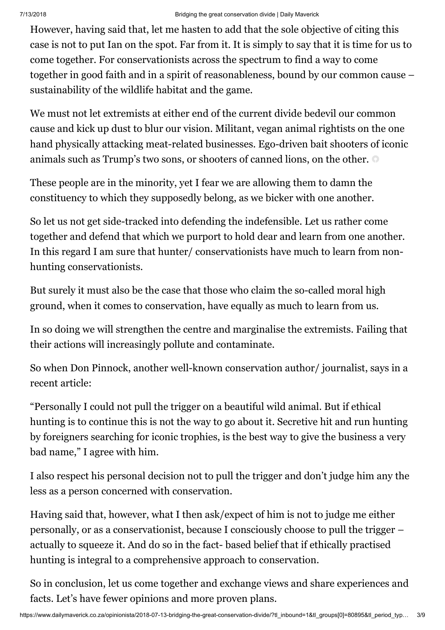#### 7/13/2018 Bridging the great conservation divide | Daily Maverick

However, having said that, let me hasten to add that the sole objective of citing this case is not to put Ian on the spot. Far from it. It is simply to say that it is time for us to come together. For conservationists across the spectrum to find a way to come together in good faith and in a spirit of reasonableness, bound by our common cause – sustainability of the wildlife habitat and the game.

We must not let extremists at either end of the current divide bedevil our common cause and kick up dust to blur our vision. Militant, vegan animal rightists on the one hand physically attacking meat-related businesses. Ego-driven bait shooters of iconic animals such as Trump's two sons, or shooters of canned lions, on the other.

These people are in the minority, yet I fear we are allowing them to damn the constituency to which they supposedly belong, as we bicker with one another.

So let us not get side-tracked into defending the indefensible. Let us rather come together and defend that which we purport to hold dear and learn from one another. In this regard I am sure that hunter/ conservationists have much to learn from nonhunting conservationists.

But surely it must also be the case that those who claim the so-called moral high ground, when it comes to conservation, have equally as much to learn from us.

In so doing we will strengthen the centre and marginalise the extremists. Failing that their actions will increasingly pollute and contaminate.

So when Don Pinnock, another well-known conservation author/ journalist, says in a recent article:

"Personally I could not pull the trigger on a beautiful wild animal. But if ethical hunting is to continue this is not the way to go about it. Secretive hit and run hunting by foreigners searching for iconic trophies, is the best way to give the business a very bad name," I agree with him.

I also respect his personal decision not to pull the trigger and don't judge him any the less as a person concerned with conservation.

Having said that, however, what I then ask/expect of him is not to judge me either personally, or as a conservationist, because I consciously choose to pull the trigger – actually to squeeze it. And do so in the fact- based belief that if ethically practised hunting is integral to a comprehensive approach to conservation.

So in conclusion, let us come together and exchange views and share experiences and facts. Let's have fewer opinions and more proven plans.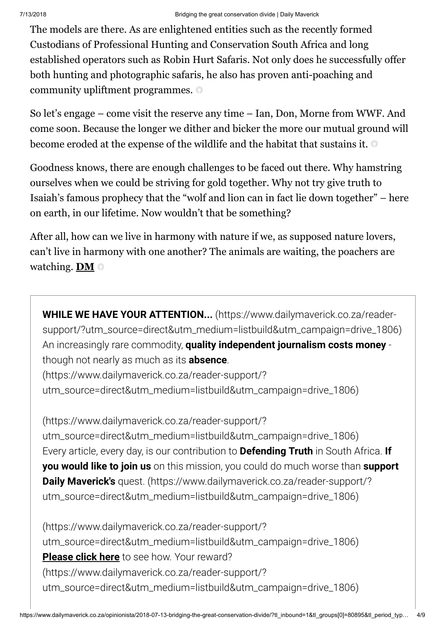The models are there. As are enlightened entities such as the recently formed Custodians of Professional Hunting and Conservation South Africa and long established operators such as Robin Hurt Safaris. Not only does he successfully offer both hunting and photographic safaris, he also has proven anti-poaching and community upliftment programmes.

So let's engage – come visit the reserve any time – Ian, Don, Morne from WWF. And come soon. Because the longer we dither and bicker the more our mutual ground will become eroded at the expense of the wildlife and the habitat that sustains it.

Goodness knows, there are enough challenges to be faced out there. Why hamstring ourselves when we could be striving for gold together. Why not try give truth to Isaiah's famous prophecy that the "wolf and lion can in fact lie down together" – here on earth, in our lifetime. Now wouldn't that be something?

After all, how can we live in harmony with nature if we, as supposed nature lovers, can't live in harmony with one another? The animals are waiting, the poachers are watching. **DM**

**WHILE WE HAVE YOUR ATTENTION...** (https://www.dailymaverick.co.za/reader[support/?utm\\_source=direct&utm\\_medium=listbuild&utm\\_campaign=drive\\_1806\)](https://www.dailymaverick.co.za/reader-support/?utm_source=direct&utm_medium=listbuild&utm_campaign=drive_1806) An increasingly rare commodity, **quality independent journalism costs money** though not nearly as much as its **absence**.

(https://www.dailymaverick.co.za/reader-support/? [utm\\_source=direct&utm\\_medium=listbuild&utm\\_campaign=drive\\_1806\)](https://www.dailymaverick.co.za/reader-support/?utm_source=direct&utm_medium=listbuild&utm_campaign=drive_1806)

(https://www.dailymaverick.co.za/reader-support/? [utm\\_source=direct&utm\\_medium=listbuild&utm\\_campaign=drive\\_1806\)](https://www.dailymaverick.co.za/reader-support/?utm_source=direct&utm_medium=listbuild&utm_campaign=drive_1806) Every article, every day, is our contribution to **Defending Truth** in South Africa. **If you would like to join us** on this mission, you could do much worse than **support Daily Maverick's** quest. (https://www.dailymaverick.co.za/reader-support/? [utm\\_source=direct&utm\\_medium=listbuild&utm\\_campaign=drive\\_1806\)](https://www.dailymaverick.co.za/reader-support/?utm_source=direct&utm_medium=listbuild&utm_campaign=drive_1806)

(https://www.dailymaverick.co.za/reader-support/? [utm\\_source=direct&utm\\_medium=listbuild&utm\\_campaign=drive\\_1806\)](https://www.dailymaverick.co.za/reader-support/?utm_source=direct&utm_medium=listbuild&utm_campaign=drive_1806) **Please click here** to see how. Your reward? (https://www.dailymaverick.co.za/reader-support/? [utm\\_source=direct&utm\\_medium=listbuild&utm\\_campaign=drive\\_1806\)](https://www.dailymaverick.co.za/reader-support/?utm_source=direct&utm_medium=listbuild&utm_campaign=drive_1806)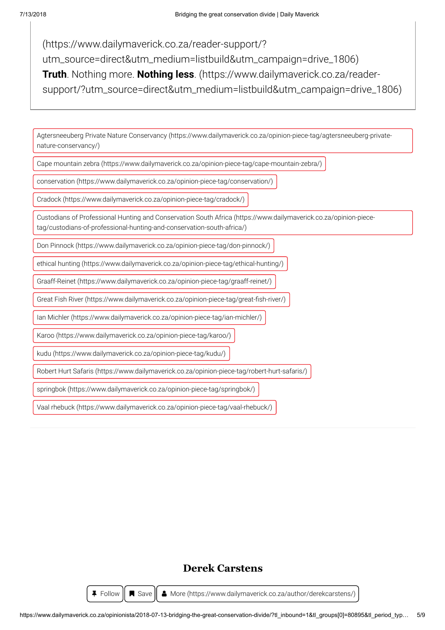(https://www.dailymaverick.co.za/reader-support/? [utm\\_source=direct&utm\\_medium=listbuild&utm\\_campaign=drive\\_1806\)](https://www.dailymaverick.co.za/reader-support/?utm_source=direct&utm_medium=listbuild&utm_campaign=drive_1806) **Truth**. Nothing more. **Nothing less**. (https://www.dailymaverick.co.za/reader[support/?utm\\_source=direct&utm\\_medium=listbuild&utm\\_campaign=drive\\_1806\)](https://www.dailymaverick.co.za/reader-support/?utm_source=direct&utm_medium=listbuild&utm_campaign=drive_1806)

[Agtersneeuberg Private Nature Conservancy \(https://www.dailymaverick.co.za/opinion-piece-tag/agtersneeuberg-private](https://www.dailymaverick.co.za/opinion-piece-tag/agtersneeuberg-private-nature-conservancy/)nature-conservancy/)

[Cape mountain zebra \(https://www.dailymaverick.co.za/opinion-piece-tag/cape-mountain-zebra/\)](https://www.dailymaverick.co.za/opinion-piece-tag/cape-mountain-zebra/)

[conservation \(https://www.dailymaverick.co.za/opinion-piece-tag/conservation/\)](https://www.dailymaverick.co.za/opinion-piece-tag/conservation/)

[Cradock \(https://www.dailymaverick.co.za/opinion-piece-tag/cradock/\)](https://www.dailymaverick.co.za/opinion-piece-tag/cradock/)

[Custodians of Professional Hunting and Conservation South Africa \(https://www.dailymaverick.co.za/opinion-piece](https://www.dailymaverick.co.za/opinion-piece-tag/custodians-of-professional-hunting-and-conservation-south-africa/)tag/custodians-of-professional-hunting-and-conservation-south-africa/)

[Don Pinnock \(https://www.dailymaverick.co.za/opinion-piece-tag/don-pinnock/\)](https://www.dailymaverick.co.za/opinion-piece-tag/don-pinnock/)

[ethical hunting \(https://www.dailymaverick.co.za/opinion-piece-tag/ethical-hunting/\)](https://www.dailymaverick.co.za/opinion-piece-tag/ethical-hunting/)

[Graaff-Reinet \(https://www.dailymaverick.co.za/opinion-piece-tag/graaff-reinet/\)](https://www.dailymaverick.co.za/opinion-piece-tag/graaff-reinet/)

Great Fish River (https://www.dailymaverick.co.za/opinion-piece-tag/great-fish-river/)

[Ian Michler \(https://www.dailymaverick.co.za/opinion-piece-tag/ian-michler/\)](https://www.dailymaverick.co.za/opinion-piece-tag/ian-michler/)

[Karoo \(https://www.dailymaverick.co.za/opinion-piece-tag/karoo/\)](https://www.dailymaverick.co.za/opinion-piece-tag/karoo/)

[kudu \(https://www.dailymaverick.co.za/opinion-piece-tag/kudu/\)](https://www.dailymaverick.co.za/opinion-piece-tag/kudu/)

[Robert Hurt Safaris \(https://www.dailymaverick.co.za/opinion-piece-tag/robert-hurt-safaris/\)](https://www.dailymaverick.co.za/opinion-piece-tag/robert-hurt-safaris/)

[springbok \(https://www.dailymaverick.co.za/opinion-piece-tag/springbok/\)](https://www.dailymaverick.co.za/opinion-piece-tag/springbok/)

[Vaal rhebuck \(https://www.dailymaverick.co.za/opinion-piece-tag/vaal-rhebuck/\)](https://www.dailymaverick.co.za/opinion-piece-tag/vaal-rhebuck/)

## **Derek Carstens**

**F** Follow  $\|\n\mathbf{R}\n\$  Save  $\|\n\mathbf{A}\n$  [More \(https://www.dailymaverick.co.za/author/derekcarstens/\)](https://www.dailymaverick.co.za/author/derekcarstens/)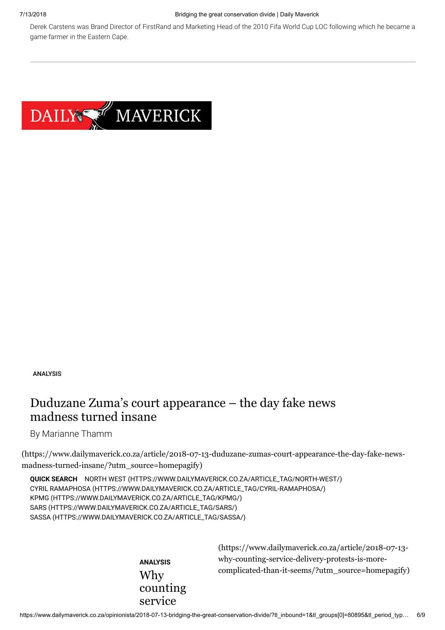#### 7/13/2018 Bridging the great conservation divide | Daily Maverick

Derek Carstens was Brand Director of FirstRand and Marketing Head of the 2010 Fifa World Cup LOC following which he became a game farmer in the Eastern Cape.



ANALYSIS

## [Duduzane Zuma's court appearance – the day fake news](https://www.dailymaverick.co.za/article/2018-07-13-duduzane-zumas-court-appearance-the-day-fake-news-madness-turned-insane/?utm_source=homepagify) madness turned insane

By Marianne Thamm

(https://www.dailymaverick.co.za/article/2018-07-13-duduzane-zumas-court-appearance-the-day-fake-newsmadness-turned-insane/?utm\_source=homepagify)

**QUICK SEARCH** [NORTH WEST \(HTTPS://WWW.DAILYMAVERICK.CO.ZA/ARTICLE\\_TAG/NORTH-WEST/\)](https://www.dailymaverick.co.za/article_tag/north-west/) [CYRIL RAMAPHOSA \(HTTPS://WWW.DAILYMAVERICK.CO.ZA/ARTICLE\\_TAG/CYRIL-RAMAPHOSA/\)](https://www.dailymaverick.co.za/article_tag/cyril-ramaphosa/) [KPMG \(HTTPS://WWW.DAILYMAVERICK.CO.ZA/ARTICLE\\_TAG/KPMG/\)](https://www.dailymaverick.co.za/article_tag/kpmg/) [SARS \(HTTPS://WWW.DAILYMAVERICK.CO.ZA/ARTICLE\\_TAG/SARS/\)](https://www.dailymaverick.co.za/article_tag/sars/) [SASSA \(HTTPS://WWW.DAILYMAVERICK.CO.ZA/ARTICLE\\_TAG/SASSA/\)](https://www.dailymaverick.co.za/article_tag/sassa/)

> **ANALYSIS** Why counting service

(https://www.dailymaverick.co.za/article/2018-07-13 why-counting-service-delivery-protests-is-more[complicated-than-it-seems/?utm\\_source=homepagify\)](https://www.dailymaverick.co.za/article/2018-07-13-why-counting-service-delivery-protests-is-more-complicated-than-it-seems/?utm_source=homepagify)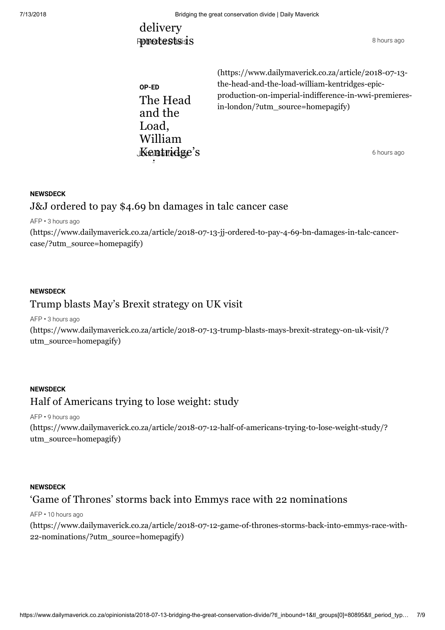## delivery Rebecte Stsids 8 hours ago

**OP-ED** The Head and the Load, William  $\mathbf K$ ching  $\mathbf G$  is  $\mathbf S$  and  $\mathbf S$  is  $\mathbf S$  and  $\mathbf S$  is  $\mathbf S$  and  $\mathbf S$  is  $\mathbf S$  is  $\mathbf S$  is  $\mathbf S$  is  $\mathbf S$  is  $\mathbf S$  is  $\mathbf S$  is  $\mathbf S$  is  $\mathbf S$  is  $\mathbf S$  is  $\mathbf S$  is  $\mathbf S$  is  $\mathbf S$  is  $\mathbf S$  is  $\mathbf S$ 

(https://www.dailymaverick.co.za/article/2018-07-13 the-head-and-the-load-william-kentridges-epic[production-on-imperial-indifference-in-wwi-premieres](https://www.dailymaverick.co.za/article/2018-07-13-the-head-and-the-load-william-kentridges-epic-production-on-imperial-indifference-in-wwi-premieres-in-london/?utm_source=homepagify)in-london/?utm\_source=homepagify)

#### **NEWSDECK**

## J&J ordered to pay \$4.69 bn damages in talc cancer case

 $\ddot{\phantom{0}}$ 

AFP • 3 hours ago

[\(https://www.dailymaverick.co.za/article/2018-07-13-jj-ordered-to-pay-4-69-bn-damages-in-talc-cancer](https://www.dailymaverick.co.za/article/2018-07-13-jj-ordered-to-pay-4-69-bn-damages-in-talc-cancer-case/?utm_source=homepagify)case/?utm\_source=homepagify)

## **NEWSDECK** Trump blasts May's Brexit strategy on UK visit

AFP • 3 hours ago

[\(https://www.dailymaverick.co.za/article/2018-07-13-trump-blasts-mays-brexit-strategy-on-uk-visit/?](https://www.dailymaverick.co.za/article/2018-07-13-trump-blasts-mays-brexit-strategy-on-uk-visit/?utm_source=homepagify) utm\_source=homepagify)

## **NEWSDECK** Half of Americans trying to lose weight: study

AFP • 9 hours ago

[\(https://www.dailymaverick.co.za/article/2018-07-12-half-of-americans-trying-to-lose-weight-study/?](https://www.dailymaverick.co.za/article/2018-07-12-half-of-americans-trying-to-lose-weight-study/?utm_source=homepagify) utm\_source=homepagify)

#### **NEWSDECK**

## 'Game of Thrones' storms back into Emmys race with 22 nominations

AFP • 10 hours ago

[\(https://www.dailymaverick.co.za/article/2018-07-12-game-of-thrones-storms-back-into-emmys-race-with-](https://www.dailymaverick.co.za/article/2018-07-12-game-of-thrones-storms-back-into-emmys-race-with-22-nominations/?utm_source=homepagify)22-nominations/?utm\_source=homepagify)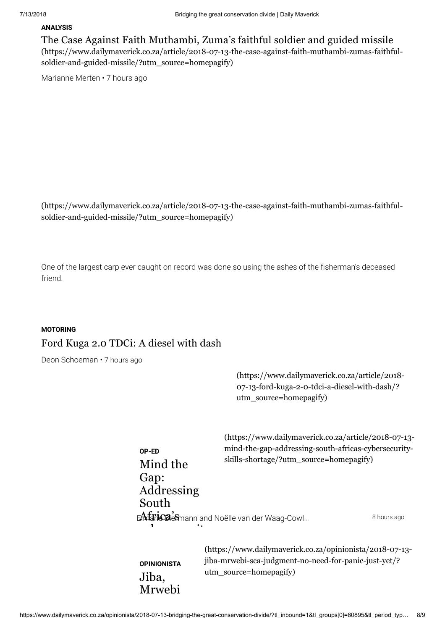#### **ANALYSIS**

The Case Against Faith Muthambi, Zuma's faithful soldier and guided missile [\(https://www.dailymaverick.co.za/article/2018-07-13-the-case-against-faith-muthambi-zumas-faithful](https://www.dailymaverick.co.za/article/2018-07-13-the-case-against-faith-muthambi-zumas-faithful-soldier-and-guided-missile/?utm_source=homepagify)soldier-and-guided-missile/?utm\_source=homepagify)

Marianne Merten • 7 hours ago

[\(https://www.dailymaverick.co.za/article/2018-07-13-the-case-against-faith-muthambi-zumas-faithful](https://www.dailymaverick.co.za/article/2018-07-13-the-case-against-faith-muthambi-zumas-faithful-soldier-and-guided-missile/?utm_source=homepagify)soldier-and-guided-missile/?utm\_source=homepagify)

One of the largest carp ever caught on record was done so using the ashes of the fisherman's deceased friend.

#### **MOTORING**

### Ford Kuga 2.0 TDCi: A diesel with dash

Deon Schoeman • 7 hours ago

(https://www.dailymaverick.co.za/article/2018- 07-13-ford-kuga-2-0-tdci-a-diesel-with-dash/? utm\_source=homepagify)

|                                                          | (https://www.dailymaverick.co.za/article/2018-07-13-                                            |             |
|----------------------------------------------------------|-------------------------------------------------------------------------------------------------|-------------|
| OP-ED<br>Mind the<br>Gap:<br>Addressing<br>South         | mind-the-gap-addressing-south-africas-cybersecurity-<br>skills-shortage/?utm_source=homepagify) |             |
| EA faricaleSmann and Noëlle van der Waag-Cowl<br>٠.<br>1 |                                                                                                 | 8 hours ago |

**OPINIONISTA** Jiba, Mrwebi [\(https://www.dailymaverick.co.za/opinionista/2018-07-13](https://www.dailymaverick.co.za/opinionista/2018-07-13-jiba-mrwebi-sca-judgment-no-need-for-panic-just-yet/?utm_source=homepagify) jiba-mrwebi-sca-judgment-no-need-for-panic-just-yet/? utm\_source=homepagify)